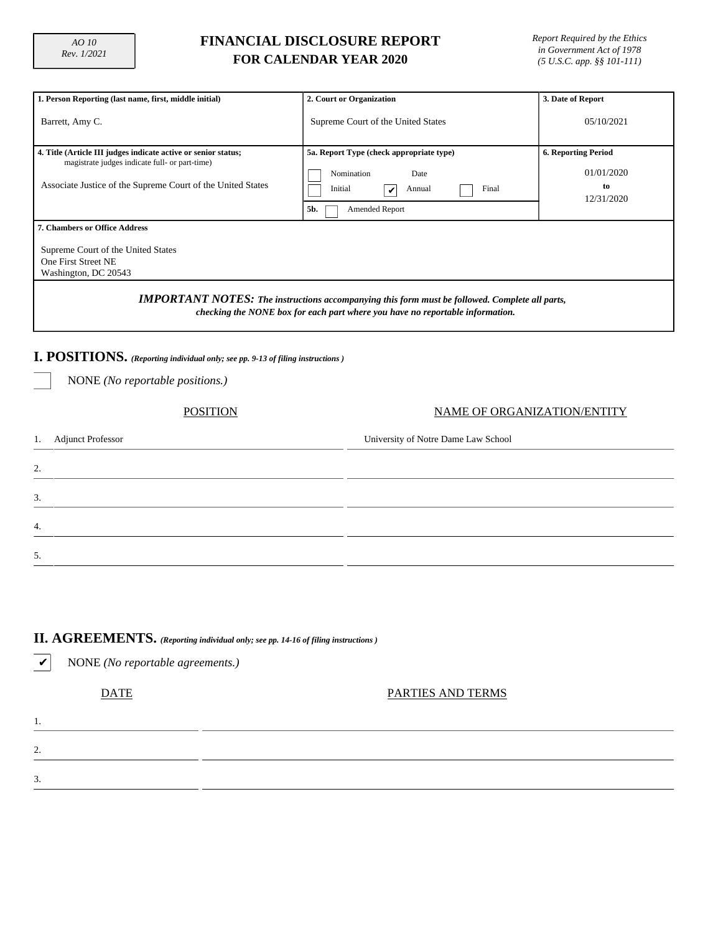4.

5.

## **FINANCIAL DISCLOSURE REPORT FOR CALENDAR YEAR 2020**

*Report Required by the Ethics in Government Act of 1978 (5 U.S.C. app. §§ 101-111)*

| 1. Person Reporting (last name, first, middle initial)         | 2. Court or Organization                                                                                                                                                               | 3. Date of Report           |  |  |  |  |  |  |  |  |
|----------------------------------------------------------------|----------------------------------------------------------------------------------------------------------------------------------------------------------------------------------------|-----------------------------|--|--|--|--|--|--|--|--|
| Barrett, Amy C.                                                | Supreme Court of the United States                                                                                                                                                     | 05/10/2021                  |  |  |  |  |  |  |  |  |
|                                                                |                                                                                                                                                                                        |                             |  |  |  |  |  |  |  |  |
| 4. Title (Article III judges indicate active or senior status; | 5a. Report Type (check appropriate type)                                                                                                                                               | <b>6. Reporting Period</b>  |  |  |  |  |  |  |  |  |
| magistrate judges indicate full- or part-time)                 |                                                                                                                                                                                        |                             |  |  |  |  |  |  |  |  |
|                                                                | Nomination<br>Date                                                                                                                                                                     | 01/01/2020                  |  |  |  |  |  |  |  |  |
| Associate Justice of the Supreme Court of the United States    | Initial<br>Final<br>Annual<br>V                                                                                                                                                        | to<br>12/31/2020            |  |  |  |  |  |  |  |  |
|                                                                | 5b.<br>Amended Report                                                                                                                                                                  |                             |  |  |  |  |  |  |  |  |
| <b>7. Chambers or Office Address</b>                           |                                                                                                                                                                                        |                             |  |  |  |  |  |  |  |  |
| Supreme Court of the United States                             |                                                                                                                                                                                        |                             |  |  |  |  |  |  |  |  |
| One First Street NE                                            |                                                                                                                                                                                        |                             |  |  |  |  |  |  |  |  |
| Washington, DC 20543                                           |                                                                                                                                                                                        |                             |  |  |  |  |  |  |  |  |
|                                                                | <b>IMPORTANT NOTES:</b> The instructions accompanying this form must be followed. Complete all parts,<br>checking the NONE box for each part where you have no reportable information. |                             |  |  |  |  |  |  |  |  |
|                                                                | I. POSITIONS. (Reporting individual only; see pp. 9-13 of filing instructions)                                                                                                         |                             |  |  |  |  |  |  |  |  |
| NONE (No reportable positions.)                                |                                                                                                                                                                                        |                             |  |  |  |  |  |  |  |  |
| <b>POSITION</b>                                                |                                                                                                                                                                                        | NAME OF ORGANIZATION/ENTITY |  |  |  |  |  |  |  |  |
| <b>Adjunct Professor</b><br>1.                                 | University of Notre Dame Law School                                                                                                                                                    |                             |  |  |  |  |  |  |  |  |
| 2.                                                             |                                                                                                                                                                                        |                             |  |  |  |  |  |  |  |  |
| 3.                                                             |                                                                                                                                                                                        |                             |  |  |  |  |  |  |  |  |

| <b>II.</b> $\widehat{AGREEMENTS}$ . (Reporting individual only; see pp. 14-16 of filing instructions ) |
|--------------------------------------------------------------------------------------------------------|

✔ NONE *(No reportable agreements.)* DATE PARTIES AND TERMS 1. 2. 3.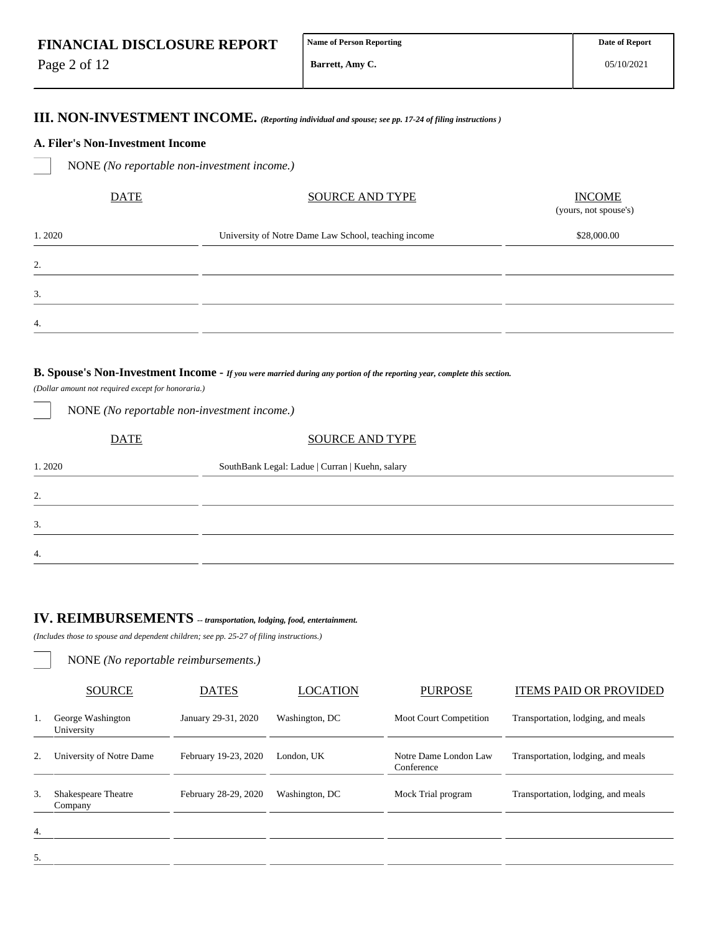Page 2 of 12

2.

3.

4.

05/10/2021

## **III. NON-INVESTMENT INCOME.** *(Reporting individual and spouse; see pp. 17-24 of filing instructions )*

#### **A. Filer's Non-Investment Income**

NONE *(No reportable non-investment income.)*

| <b>DATE</b> | <b>SOURCE AND TYPE</b>                               | <b>INCOME</b><br>(yours, not spouse's) |
|-------------|------------------------------------------------------|----------------------------------------|
| 1.2020      | University of Notre Dame Law School, teaching income | \$28,000.00                            |
| 2.          |                                                      |                                        |
| 3.          |                                                      |                                        |
| 4.          |                                                      |                                        |
|             |                                                      |                                        |

#### **B. Spouse's Non-Investment Income -** *If you were married during any portion of the reporting year, complete this section.*

*(Dollar amount not required except for honoraria.)*

| <b>SOURCE AND TYPE</b>                          |
|-------------------------------------------------|
| SouthBank Legal: Ladue   Curran   Kuehn, salary |
|                                                 |
|                                                 |
|                                                 |
|                                                 |

## **IV. REIMBURSEMENTS** *-- transportation, lodging, food, entertainment.*

*(Includes those to spouse and dependent children; see pp. 25-27 of filing instructions.)*

NONE *(No reportable non-investment income.)*

NONE *(No reportable reimbursements.)*

|    | <b>SOURCE</b>                         | <b>DATES</b>         | <b>LOCATION</b> | <b>PURPOSE</b>                      | <b>ITEMS PAID OR PROVIDED</b>      |
|----|---------------------------------------|----------------------|-----------------|-------------------------------------|------------------------------------|
| 1. | George Washington<br>University       | January 29-31, 2020  | Washington, DC  | <b>Moot Court Competition</b>       | Transportation, lodging, and meals |
| 2. | University of Notre Dame              | February 19-23, 2020 | London, UK      | Notre Dame London Law<br>Conference | Transportation, lodging, and meals |
| 3. | <b>Shakespeare Theatre</b><br>Company | February 28-29, 2020 | Washington, DC  | Mock Trial program                  | Transportation, lodging, and meals |
| 4. |                                       |                      |                 |                                     |                                    |
| 5. |                                       |                      |                 |                                     |                                    |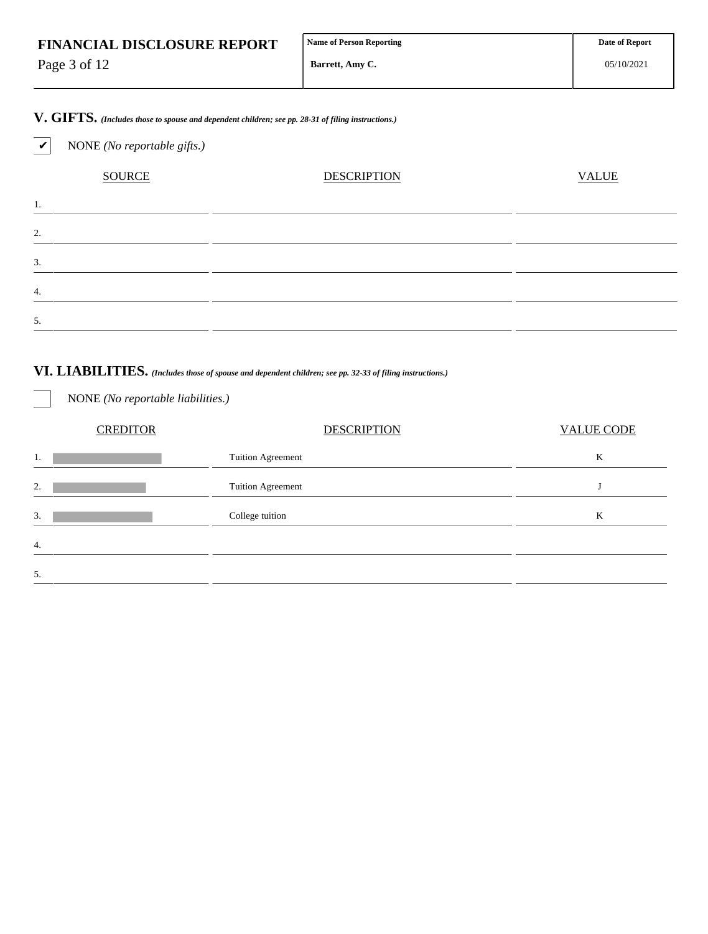| <b>FINANCIAL DISCLOSURE REPORT</b> | Name of Person Reporting | <b>Date of Report</b> |
|------------------------------------|--------------------------|-----------------------|
| Page 3 of 12                       | Barrett. Amy C.          | 05/10/2021            |

**V. GIFTS.** *(Includes those to spouse and dependent children; see pp. 28-31 of filing instructions.)*

✔ NONE *(No reportable gifts.)*

NONE *(No reportable liabilities.)*

| <b>SOURCE</b>       | <b>DESCRIPTION</b> | <b>VALUE</b> |
|---------------------|--------------------|--------------|
| Ι.                  |                    |              |
| $\mathcal{L}$<br>۷. |                    |              |
| 3.                  |                    |              |
| 4.                  |                    |              |
| 5.                  |                    |              |

## **VI. LIABILITIES.** *(Includes those of spouse and dependent children; see pp. 32-33 of filing instructions.)*

|    | <b>CREDITOR</b> | <b>DESCRIPTION</b>       | <b>VALUE CODE</b> |
|----|-----------------|--------------------------|-------------------|
| 1. |                 | <b>Tuition Agreement</b> | K                 |
| 2. |                 | Tuition Agreement        |                   |
| 3. |                 | College tuition          | K                 |
| 4. |                 |                          |                   |
| 5. |                 |                          |                   |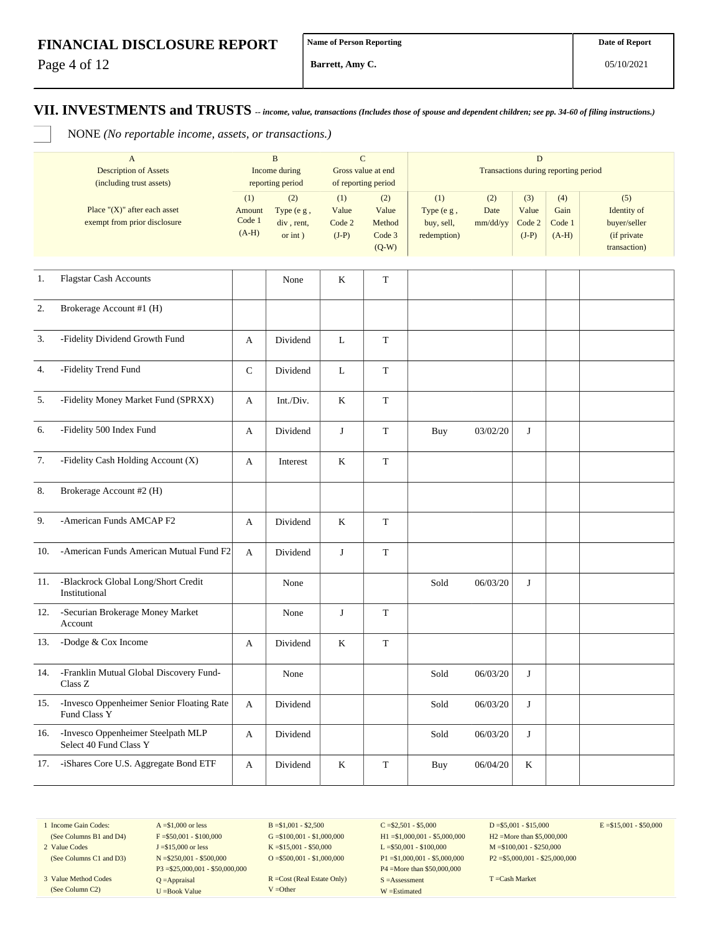Page 4 of 12

**Barrett, Amy C.**

**VII. INVESTMENTS and TRUSTS** *-- income, value, transactions (Includes those of spouse and dependent children; see pp. 34-60 of filing instructions.)*

NONE *(No reportable income, assets, or transactions.)*

|     | $\mathbf{A}$<br><b>Description of Assets</b><br>(including trust assets) |                                    | $\, {\bf B}$<br>Income during<br>reporting period | $\mathbf C$                       | Gross value at end<br>of reporting period   | $\mathbf D$<br>Transactions during reporting period |                         |                                   |                                  |                                                                   |
|-----|--------------------------------------------------------------------------|------------------------------------|---------------------------------------------------|-----------------------------------|---------------------------------------------|-----------------------------------------------------|-------------------------|-----------------------------------|----------------------------------|-------------------------------------------------------------------|
|     | Place " $(X)$ " after each asset<br>exempt from prior disclosure         | (1)<br>Amount<br>Code 1<br>$(A-H)$ | (2)<br>Type (e g,<br>div, rent,<br>or $int$ )     | (1)<br>Value<br>Code 2<br>$(J-P)$ | (2)<br>Value<br>Method<br>Code 3<br>$(Q-W)$ | (1)<br>Type (e g,<br>buy, sell,<br>redemption)      | (2)<br>Date<br>mm/dd/yy | (3)<br>Value<br>Code 2<br>$(J-P)$ | (4)<br>Gain<br>Code 1<br>$(A-H)$ | (5)<br>Identity of<br>buyer/seller<br>(if private<br>transaction) |
| 1.  | <b>Flagstar Cash Accounts</b>                                            |                                    | None                                              | $\bf K$                           | $\mathbf T$                                 |                                                     |                         |                                   |                                  |                                                                   |
| 2.  | Brokerage Account #1 (H)                                                 |                                    |                                                   |                                   |                                             |                                                     |                         |                                   |                                  |                                                                   |
| 3.  | -Fidelity Dividend Growth Fund                                           | A                                  | Dividend                                          | $\mathbf{L}$                      | $\mathbf T$                                 |                                                     |                         |                                   |                                  |                                                                   |
| 4.  | -Fidelity Trend Fund                                                     | $\mathsf{C}$                       | Dividend                                          | L                                 | T                                           |                                                     |                         |                                   |                                  |                                                                   |
| 5.  | -Fidelity Money Market Fund (SPRXX)                                      | A                                  | Int./Div.                                         | K                                 | $\mathbf T$                                 |                                                     |                         |                                   |                                  |                                                                   |
| 6.  | -Fidelity 500 Index Fund                                                 | A                                  | Dividend                                          | J                                 | $\mathbf T$                                 | Buy                                                 | 03/02/20                | J                                 |                                  |                                                                   |
| 7.  | -Fidelity Cash Holding Account (X)                                       | A                                  | Interest                                          | K                                 | $\mathbf T$                                 |                                                     |                         |                                   |                                  |                                                                   |
| 8.  | Brokerage Account #2 (H)                                                 |                                    |                                                   |                                   |                                             |                                                     |                         |                                   |                                  |                                                                   |
| 9.  | -American Funds AMCAP F2                                                 | A                                  | Dividend                                          | K                                 | T                                           |                                                     |                         |                                   |                                  |                                                                   |
| 10. | -American Funds American Mutual Fund F2                                  | A                                  | Dividend                                          | J                                 | $\mathbf T$                                 |                                                     |                         |                                   |                                  |                                                                   |
| 11. | -Blackrock Global Long/Short Credit<br>Institutional                     |                                    | None                                              |                                   |                                             | Sold                                                | 06/03/20                | J                                 |                                  |                                                                   |
| 12. | -Securian Brokerage Money Market<br>Account                              |                                    | None                                              | J                                 | $\mathbf T$                                 |                                                     |                         |                                   |                                  |                                                                   |
| 13. | -Dodge & Cox Income                                                      | A                                  | Dividend                                          | $\rm K$                           | $\mathbf T$                                 |                                                     |                         |                                   |                                  |                                                                   |
| 14. | -Franklin Mutual Global Discovery Fund-<br>Class Z                       |                                    | None                                              |                                   |                                             | Sold                                                | 06/03/20                | J                                 |                                  |                                                                   |
| 15. | -Invesco Oppenheimer Senior Floating Rate<br>Fund Class Y                | A                                  | Dividend                                          |                                   |                                             | Sold                                                | 06/03/20                | $\bf J$                           |                                  |                                                                   |
| 16. | -Invesco Oppenheimer Steelpath MLP<br>Select 40 Fund Class Y             | A                                  | Dividend                                          |                                   |                                             | Sold                                                | 06/03/20                | J                                 |                                  |                                                                   |
| 17. | -iShares Core U.S. Aggregate Bond ETF                                    | A                                  | Dividend                                          | $\bf K$                           | $\mathbf T$                                 | <b>Buy</b>                                          | 06/04/20                | $\,$ K                            |                                  |                                                                   |

1 Income Gain Codes: (See Columns B1 and D4)

2 Value Codes (See Columns C1 and D3)

3 Value Method Codes (See Column C2)

 $A = $1,000$  or less  $F = $50,001 - $100,000$ J =\$15,000 or less N =\$250,001 - \$500,000 P3 =\$25,000,001 - \$50,000,000 Q =Appraisal U =Book Value

 $B = $1,001 - $2,500$  $G = $100,001 - $1,000,000$ K =\$15,001 - \$50,000 O =  $$500,001 - $1,000,000$ 

R =Cost (Real Estate Only) V =Other

 $C = $2,501 - $5,000$ H1 =\$1,000,001 - \$5,000,000 L =\$50,001 - \$100,000 P1 =\$1,000,001 - \$5,000,000 P4 =More than \$50,000,000 S =Assessment W =Estimated

 $D = $5,001 - $15,000$ H2 =More than \$5,000,000 M =\$100,001 - \$250,000 P2 =\$5,000,001 - \$25,000,000  $E = $15,001 - $50,000$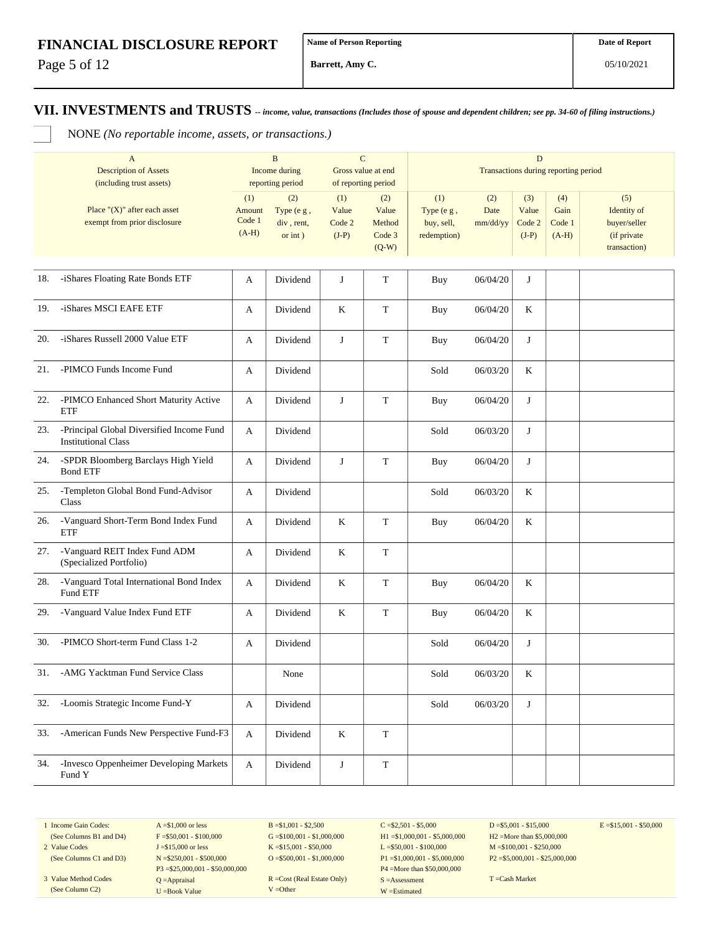Page 5 of 12

**Barrett, Amy C.**

### **VII. INVESTMENTS and TRUSTS** *-- income, value, transactions (Includes those of spouse and dependent children; see pp. 34-60 of filing instructions.)*

NONE *(No reportable income, assets, or transactions.)*

|     | $\mathbf{A}$<br><b>Description of Assets</b><br>(including trust assets) |                                    | $\, {\bf B}$<br>Income during<br>reporting period | $\mathbf C$<br>Gross value at end<br>of reporting period |                                             | $\mathbf D$<br>Transactions during reporting period |                         |                                   |                                  |                                                                   |
|-----|--------------------------------------------------------------------------|------------------------------------|---------------------------------------------------|----------------------------------------------------------|---------------------------------------------|-----------------------------------------------------|-------------------------|-----------------------------------|----------------------------------|-------------------------------------------------------------------|
|     | Place " $(X)$ " after each asset<br>exempt from prior disclosure         | (1)<br>Amount<br>Code 1<br>$(A-H)$ | (2)<br>Type (e g,<br>div, rent,<br>or int)        | (1)<br>Value<br>Code 2<br>$(J-P)$                        | (2)<br>Value<br>Method<br>Code 3<br>$(Q-W)$ | (1)<br>Type (e g,<br>buy, sell,<br>redemption)      | (2)<br>Date<br>mm/dd/yy | (3)<br>Value<br>Code 2<br>$(J-P)$ | (4)<br>Gain<br>Code 1<br>$(A-H)$ | (5)<br>Identity of<br>buyer/seller<br>(if private<br>transaction) |
| 18. | -iShares Floating Rate Bonds ETF                                         | A                                  | Dividend                                          | J                                                        | T                                           | <b>Buy</b>                                          | 06/04/20                | J                                 |                                  |                                                                   |
| 19. | -iShares MSCI EAFE ETF                                                   | A                                  | Dividend                                          | K                                                        | $\mathbf T$                                 | Buy                                                 | 06/04/20                | K                                 |                                  |                                                                   |
| 20. | -iShares Russell 2000 Value ETF                                          | A                                  | Dividend                                          | $\bf J$                                                  | $\mathbf T$                                 | Buy                                                 | 06/04/20                | J                                 |                                  |                                                                   |
| 21. | -PIMCO Funds Income Fund                                                 | A                                  | Dividend                                          |                                                          |                                             | Sold                                                | 06/03/20                | K                                 |                                  |                                                                   |
| 22. | -PIMCO Enhanced Short Maturity Active<br>ETF                             | A                                  | Dividend                                          | J                                                        | $\mathbf T$                                 | Buy                                                 | 06/04/20                | J                                 |                                  |                                                                   |
| 23. | -Principal Global Diversified Income Fund<br><b>Institutional Class</b>  | A                                  | Dividend                                          |                                                          |                                             | Sold                                                | 06/03/20                | J                                 |                                  |                                                                   |
| 24. | -SPDR Bloomberg Barclays High Yield<br><b>Bond ETF</b>                   | A                                  | Dividend                                          | J                                                        | T                                           | Buy                                                 | 06/04/20                | J                                 |                                  |                                                                   |
| 25. | -Templeton Global Bond Fund-Advisor<br>Class                             | А                                  | Dividend                                          |                                                          |                                             | Sold                                                | 06/03/20                | K                                 |                                  |                                                                   |
| 26. | -Vanguard Short-Term Bond Index Fund<br><b>ETF</b>                       | A                                  | Dividend                                          | K                                                        | T                                           | Buy                                                 | 06/04/20                | K                                 |                                  |                                                                   |
| 27. | -Vanguard REIT Index Fund ADM<br>(Specialized Portfolio)                 | A                                  | Dividend                                          | K                                                        | $\mathbf T$                                 |                                                     |                         |                                   |                                  |                                                                   |
| 28. | -Vanguard Total International Bond Index<br>Fund ETF                     | A                                  | Dividend                                          | $\rm K$                                                  | $\mathbf T$                                 | <b>Buy</b>                                          | 06/04/20                | K                                 |                                  |                                                                   |
| 29. | -Vanguard Value Index Fund ETF                                           | A                                  | Dividend                                          | K                                                        | $\mathbf T$                                 | <b>Buy</b>                                          | 06/04/20                | $\rm K$                           |                                  |                                                                   |
| 30. | -PIMCO Short-term Fund Class 1-2                                         | A                                  | Dividend                                          |                                                          |                                             | Sold                                                | 06/04/20                | J                                 |                                  |                                                                   |
| 31. | -AMG Yacktman Fund Service Class                                         |                                    | None                                              |                                                          |                                             | Sold                                                | 06/03/20                | $\rm K$                           |                                  |                                                                   |
| 32. | -Loomis Strategic Income Fund-Y                                          | A                                  | Dividend                                          |                                                          |                                             | Sold                                                | 06/03/20                | J                                 |                                  |                                                                   |
| 33. | -American Funds New Perspective Fund-F3                                  | A                                  | Dividend                                          | $\bf K$                                                  | $\mathbf T$                                 |                                                     |                         |                                   |                                  |                                                                   |
| 34. | -Invesco Oppenheimer Developing Markets<br>Fund Y                        | A                                  | Dividend                                          | $\bf J$                                                  | T                                           |                                                     |                         |                                   |                                  |                                                                   |

1 Income Gain Codes:

(See Columns B1 and D4) 2 Value Codes

(See Columns C1 and D3)

3 Value Method Codes (See Column C2)

 $A = $1,000$  or less  $F = $50,001 - $100,000$ J =\$15,000 or less N =\$250,001 - \$500,000 P3 =\$25,000,001 - \$50,000,000 Q =Appraisal U =Book Value

 $B = $1,001 - $2,500$  $G = $100,001 - $1,000,000$ K =\$15,001 - \$50,000  $O = $500,001 - $1,000,000$ 

R =Cost (Real Estate Only) V =Other

 $C = $2,501 - $5,000$ H1 =\$1,000,001 - \$5,000,000 L =\$50,001 - \$100,000 P1 =\$1,000,001 - \$5,000,000 P4 =More than \$50,000,000 S =Assessment W =Estimated

 $D = $5,001 - $15,000$ H2 =More than \$5,000,000 M =\$100,001 - \$250,000 P2 =\$5,000,001 - \$25,000,000  $E = $15,001 - $50,000$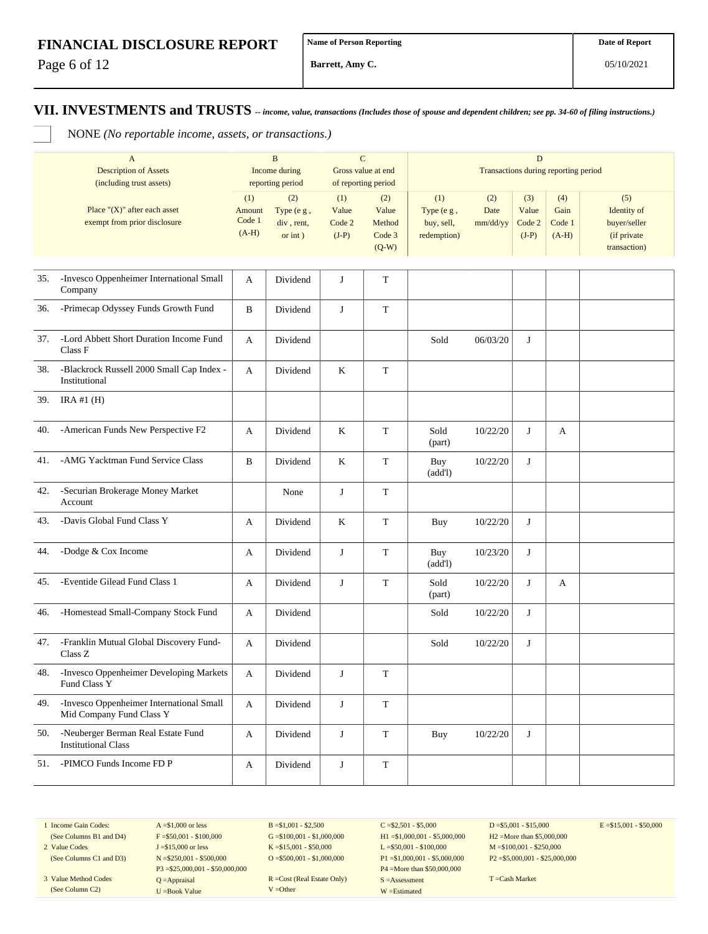Page 6 of 12

**Barrett, Amy C.**

05/10/2021

#### **VII. INVESTMENTS and TRUSTS** *-- income, value, transactions (Includes those of spouse and dependent children; see pp. 34-60 of filing instructions.)*

NONE *(No reportable income, assets, or transactions.)*

|     | $\mathbf{A}$<br><b>Description of Assets</b><br>(including trust assets) | $\, {\bf B}$<br>$\mathbf C$<br>Income during<br>Gross value at end<br>reporting period<br>of reporting period |                                            | D<br>Transactions during reporting period |                                             |                                                |                         |                                   |                                  |                                                                   |
|-----|--------------------------------------------------------------------------|---------------------------------------------------------------------------------------------------------------|--------------------------------------------|-------------------------------------------|---------------------------------------------|------------------------------------------------|-------------------------|-----------------------------------|----------------------------------|-------------------------------------------------------------------|
|     | Place " $(X)$ " after each asset<br>exempt from prior disclosure         | (1)<br>Amount<br>Code 1<br>$(A-H)$                                                                            | (2)<br>Type (e g,<br>div, rent,<br>or int) | (1)<br>Value<br>Code 2<br>$(J-P)$         | (2)<br>Value<br>Method<br>Code 3<br>$(Q-W)$ | (1)<br>Type (e g,<br>buy, sell,<br>redemption) | (2)<br>Date<br>mm/dd/yy | (3)<br>Value<br>Code 2<br>$(J-P)$ | (4)<br>Gain<br>Code 1<br>$(A-H)$ | (5)<br>Identity of<br>buyer/seller<br>(if private<br>transaction) |
| 35. | -Invesco Oppenheimer International Small<br>Company                      | A                                                                                                             | Dividend                                   | J                                         | T                                           |                                                |                         |                                   |                                  |                                                                   |
| 36. | -Primecap Odyssey Funds Growth Fund                                      | B                                                                                                             | Dividend                                   | J                                         | $\mathbf T$                                 |                                                |                         |                                   |                                  |                                                                   |
| 37. | -Lord Abbett Short Duration Income Fund<br>Class F                       | A                                                                                                             | Dividend                                   |                                           |                                             | Sold                                           | 06/03/20                | J                                 |                                  |                                                                   |
| 38. | -Blackrock Russell 2000 Small Cap Index -<br>Institutional               | A                                                                                                             | Dividend                                   | K                                         | T                                           |                                                |                         |                                   |                                  |                                                                   |
| 39. | IRA#1(H)                                                                 |                                                                                                               |                                            |                                           |                                             |                                                |                         |                                   |                                  |                                                                   |
| 40. | -American Funds New Perspective F2                                       | A                                                                                                             | Dividend                                   | $\bf K$                                   | $\mathbf T$                                 | Sold<br>(part)                                 | 10/22/20                | J                                 | А                                |                                                                   |
| 41. | -AMG Yacktman Fund Service Class                                         | B                                                                                                             | Dividend                                   | K                                         | T                                           | Buy<br>(add!)                                  | 10/22/20                | J                                 |                                  |                                                                   |
| 42. | -Securian Brokerage Money Market<br>Account                              |                                                                                                               | None                                       | J                                         | T                                           |                                                |                         |                                   |                                  |                                                                   |
| 43. | -Davis Global Fund Class Y                                               | A                                                                                                             | Dividend                                   | K                                         | T                                           | Buy                                            | 10/22/20                | J                                 |                                  |                                                                   |
| 44. | -Dodge & Cox Income                                                      | A                                                                                                             | Dividend                                   | J                                         | $\mathbf T$                                 | Buy<br>(add!)                                  | 10/23/20                | J                                 |                                  |                                                                   |
| 45. | -Eventide Gilead Fund Class 1                                            | A                                                                                                             | Dividend                                   | J                                         | $\mathbf T$                                 | Sold<br>(part)                                 | 10/22/20                | J                                 | A                                |                                                                   |
| 46. | -Homestead Small-Company Stock Fund                                      | A                                                                                                             | Dividend                                   |                                           |                                             | Sold                                           | 10/22/20                | J                                 |                                  |                                                                   |
| 47. | -Franklin Mutual Global Discovery Fund-<br>Class Z                       | A                                                                                                             | Dividend                                   |                                           |                                             | Sold                                           | 10/22/20                | J                                 |                                  |                                                                   |
| 48. | -Invesco Oppenheimer Developing Markets<br><b>Fund Class Y</b>           | A                                                                                                             | Dividend                                   | J                                         | T                                           |                                                |                         |                                   |                                  |                                                                   |
| 49. | -Invesco Oppenheimer International Small<br>Mid Company Fund Class Y     | A                                                                                                             | Dividend                                   | $\bf J$                                   | $\mathbf T$                                 |                                                |                         |                                   |                                  |                                                                   |
| 50. | -Neuberger Berman Real Estate Fund<br><b>Institutional Class</b>         | A                                                                                                             | Dividend                                   | J                                         | $\mathbf T$                                 | <b>Buy</b>                                     | 10/22/20                | J                                 |                                  |                                                                   |
| 51. | -PIMCO Funds Income FD P                                                 | A                                                                                                             | Dividend                                   | $\bf J$                                   | $\mathbf T$                                 |                                                |                         |                                   |                                  |                                                                   |

1 Income Gain Codes: (See Columns B1 and D4)

(See Columns C1 and D3) 3 Value Method Codes (See Column C2)

2 Value Codes

 $F = $50,001 - $100,000$ J =\$15,000 or less N =\$250,001 - \$500,000 P3 =\$25,000,001 - \$50,000,000 Q =Appraisal U =Book Value

 $A = $1,000$  or less

 $B = $1,001 - $2,500$  $G = $100,001 - $1,000,000$ K =\$15,001 - \$50,000  $O = $500,001 - $1,000,000$ 

R =Cost (Real Estate Only) V =Other

 $C = $2,501 - $5,000$ H1 =\$1,000,001 - \$5,000,000 L =\$50,001 - \$100,000 P1 =\$1,000,001 - \$5,000,000 P4 =More than \$50,000,000 S =Assessment W =Estimated

 $D = $5,001 - $15,000$ H2 =More than \$5,000,000 M =\$100,001 - \$250,000 P2 =\$5,000,001 - \$25,000,000  $E = $15,001 - $50,000$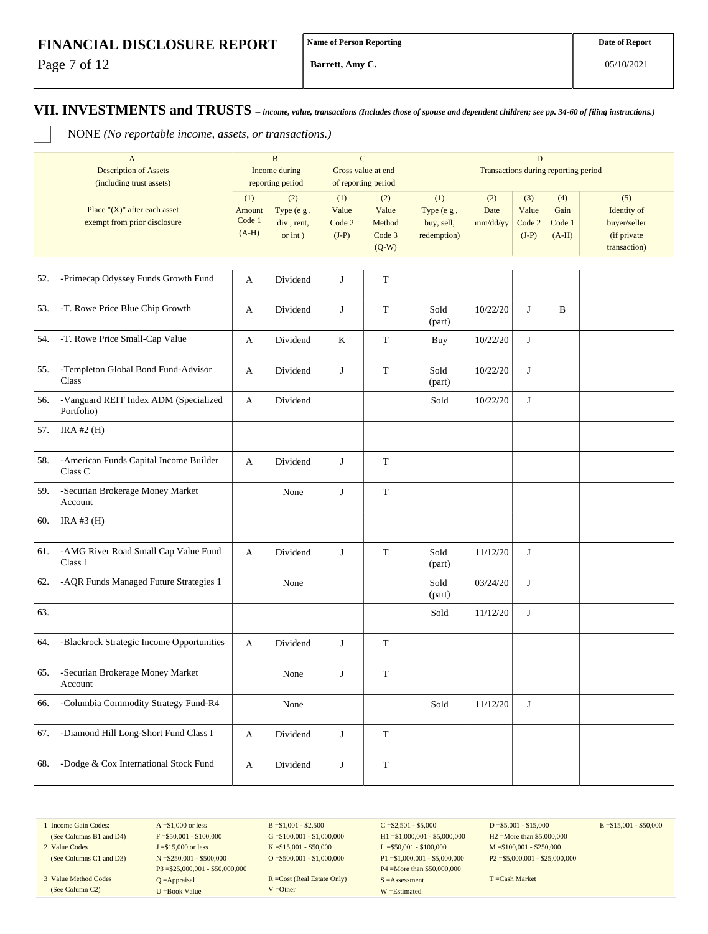Page 7 of 12

**Barrett, Amy C.**

### **VII. INVESTMENTS and TRUSTS** *-- income, value, transactions (Includes those of spouse and dependent children; see pp. 34-60 of filing instructions.)*

NONE *(No reportable income, assets, or transactions.)*

|     | $\mathbf{A}$<br><b>Description of Assets</b><br>(including trust assets) |                                    | $\, {\bf B}$<br>Income during<br>reporting period |                                   | $\mathbf C$<br>Gross value at end<br>of reporting period | $\mathbf D$<br>Transactions during reporting period |                         |                                   |                                  |                                                                   |
|-----|--------------------------------------------------------------------------|------------------------------------|---------------------------------------------------|-----------------------------------|----------------------------------------------------------|-----------------------------------------------------|-------------------------|-----------------------------------|----------------------------------|-------------------------------------------------------------------|
|     | Place " $(X)$ " after each asset<br>exempt from prior disclosure         | (1)<br>Amount<br>Code 1<br>$(A-H)$ | (2)<br>Type (e g,<br>div, rent,<br>or int)        | (1)<br>Value<br>Code 2<br>$(J-P)$ | (2)<br>Value<br>Method<br>Code 3<br>$(Q-W)$              | (1)<br>Type (e g,<br>buy, sell,<br>redemption)      | (2)<br>Date<br>mm/dd/yy | (3)<br>Value<br>Code 2<br>$(J-P)$ | (4)<br>Gain<br>Code 1<br>$(A-H)$ | (5)<br>Identity of<br>buyer/seller<br>(if private<br>transaction) |
| 52. | -Primecap Odyssey Funds Growth Fund                                      | A                                  | Dividend                                          | J                                 | T                                                        |                                                     |                         |                                   |                                  |                                                                   |
| 53. | -T. Rowe Price Blue Chip Growth                                          | А                                  | Dividend                                          | J                                 | $\mathbf T$                                              | Sold<br>(part)                                      | 10/22/20                | J                                 | B                                |                                                                   |
| 54. | -T. Rowe Price Small-Cap Value                                           | A                                  | Dividend                                          | K                                 | $\mathbf T$                                              | Buy                                                 | 10/22/20                | J                                 |                                  |                                                                   |
| 55. | -Templeton Global Bond Fund-Advisor<br>Class                             | А                                  | Dividend                                          | J                                 | $\mathbf T$                                              | Sold<br>(part)                                      | 10/22/20                | J                                 |                                  |                                                                   |
| 56. | -Vanguard REIT Index ADM (Specialized<br>Portfolio)                      | A                                  | Dividend                                          |                                   |                                                          | Sold                                                | 10/22/20                | J                                 |                                  |                                                                   |
| 57. | IRA #2 $(H)$                                                             |                                    |                                                   |                                   |                                                          |                                                     |                         |                                   |                                  |                                                                   |
| 58. | -American Funds Capital Income Builder<br>Class <sub>C</sub>             | A                                  | Dividend                                          | J                                 | $\mathbf T$                                              |                                                     |                         |                                   |                                  |                                                                   |
| 59. | -Securian Brokerage Money Market<br>Account                              |                                    | None                                              | J                                 | T                                                        |                                                     |                         |                                   |                                  |                                                                   |
| 60. | IRA #3 $(H)$                                                             |                                    |                                                   |                                   |                                                          |                                                     |                         |                                   |                                  |                                                                   |
| 61. | -AMG River Road Small Cap Value Fund<br>Class 1                          | A                                  | Dividend                                          | J                                 | $\mathbf T$                                              | Sold<br>(part)                                      | 11/12/20                | J                                 |                                  |                                                                   |
| 62. | -AQR Funds Managed Future Strategies 1                                   |                                    | None                                              |                                   |                                                          | Sold<br>(part)                                      | 03/24/20                | J                                 |                                  |                                                                   |
| 63. |                                                                          |                                    |                                                   |                                   |                                                          | Sold                                                | 11/12/20                | J                                 |                                  |                                                                   |
| 64. | -Blackrock Strategic Income Opportunities                                | A                                  | Dividend                                          | J                                 | T                                                        |                                                     |                         |                                   |                                  |                                                                   |
| 65. | -Securian Brokerage Money Market<br>Account                              |                                    | None                                              | J                                 | $\mathbf T$                                              |                                                     |                         |                                   |                                  |                                                                   |
| 66. | -Columbia Commodity Strategy Fund-R4                                     |                                    | None                                              |                                   |                                                          | Sold                                                | 11/12/20                | J                                 |                                  |                                                                   |
| 67. | -Diamond Hill Long-Short Fund Class I                                    | A                                  | Dividend                                          | J                                 | $\mathbf T$                                              |                                                     |                         |                                   |                                  |                                                                   |
| 68. | -Dodge & Cox International Stock Fund                                    | A                                  | Dividend                                          | J                                 | $\mathbf T$                                              |                                                     |                         |                                   |                                  |                                                                   |

1 Income Gain Codes: (See Columns B1 and D4)

2 Value Codes (See Columns C1 and D3)

3 Value Method Codes (See Column C2)

 $A = $1,000$  or less  $F = $50,001 - $100,000$ J =\$15,000 or less N =\$250,001 - \$500,000 P3 =\$25,000,001 - \$50,000,000 Q =Appraisal U =Book Value

 $B = $1,001 - $2,500$  $G = $100,001 - $1,000,000$ K =\$15,001 - \$50,000  $O = $500,001 - $1,000,000$ 

R =Cost (Real Estate Only) V =Other

 $C = $2,501 - $5,000$ H1 =\$1,000,001 - \$5,000,000 L =\$50,001 - \$100,000 P1 =\$1,000,001 - \$5,000,000 P4 =More than \$50,000,000 S =Assessment W =Estimated

 $D = $5,001 - $15,000$ H2 =More than \$5,000,000 M =\$100,001 - \$250,000 P2 =\$5,000,001 - \$25,000,000  $E = $15,001 - $50,000$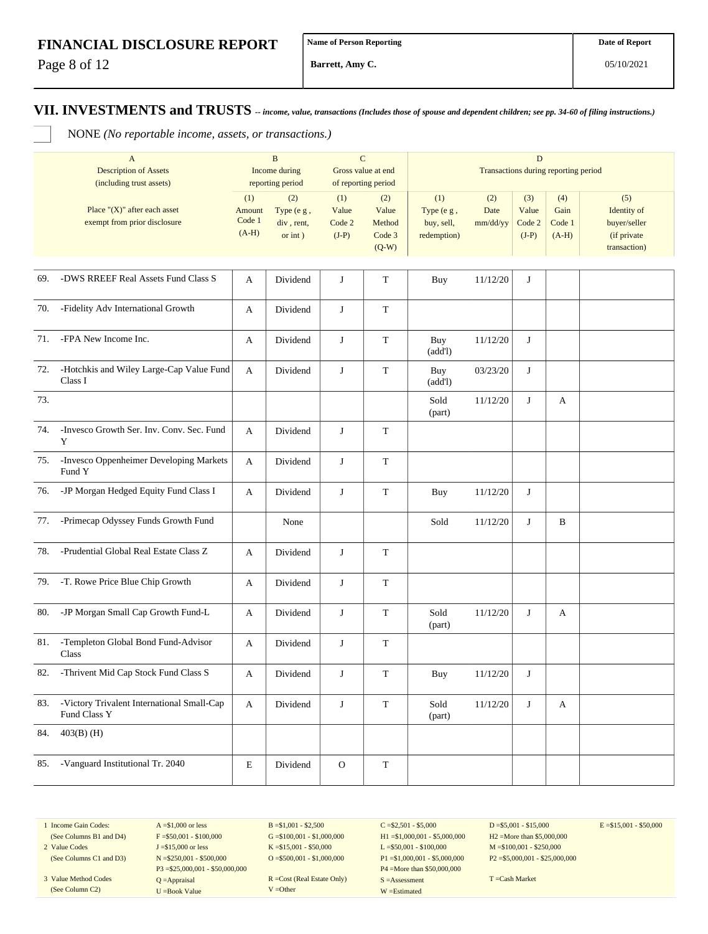Page 8 of 12

**Barrett, Amy C.**

# **VII. INVESTMENTS and TRUSTS** *-- income, value, transactions (Includes those of spouse and dependent children; see pp. 34-60 of filing instructions.)*

NONE *(No reportable income, assets, or transactions.)*

| $\mathbf{A}$<br><b>Description of Assets</b><br>(including trust assets) |                                                                  | $\, {\bf B}$<br>Income during<br>reporting period |                                               | $\mathbf C$<br>Gross value at end<br>of reporting period |                                             | D<br>Transactions during reporting period      |                         |                                   |                                  |                                                                   |
|--------------------------------------------------------------------------|------------------------------------------------------------------|---------------------------------------------------|-----------------------------------------------|----------------------------------------------------------|---------------------------------------------|------------------------------------------------|-------------------------|-----------------------------------|----------------------------------|-------------------------------------------------------------------|
|                                                                          | Place " $(X)$ " after each asset<br>exempt from prior disclosure | (1)<br>Amount<br>Code 1<br>$(A-H)$                | (2)<br>Type (e g,<br>div, rent,<br>or $int$ ) | (1)<br>Value<br>Code 2<br>$(J-P)$                        | (2)<br>Value<br>Method<br>Code 3<br>$(Q-W)$ | (1)<br>Type (e g,<br>buy, sell,<br>redemption) | (2)<br>Date<br>mm/dd/yy | (3)<br>Value<br>Code 2<br>$(J-P)$ | (4)<br>Gain<br>Code 1<br>$(A-H)$ | (5)<br>Identity of<br>buyer/seller<br>(if private<br>transaction) |
| 69.                                                                      | -DWS RREEF Real Assets Fund Class S                              | A                                                 | Dividend                                      | J                                                        | $\mathbf T$                                 | Buy                                            | 11/12/20                | J                                 |                                  |                                                                   |
| 70.                                                                      | -Fidelity Adv International Growth                               | A                                                 | Dividend                                      | J                                                        | $\mathbf T$                                 |                                                |                         |                                   |                                  |                                                                   |
| 71.                                                                      | -FPA New Income Inc.                                             | A                                                 | Dividend                                      | J                                                        | $\mathbf T$                                 | Buy<br>(add!)                                  | 11/12/20                | J                                 |                                  |                                                                   |
| 72.                                                                      | -Hotchkis and Wiley Large-Cap Value Fund<br>Class I              | A                                                 | Dividend                                      | J                                                        | T                                           | Buy<br>(add!)                                  | 03/23/20                | J                                 |                                  |                                                                   |
| 73.                                                                      |                                                                  |                                                   |                                               |                                                          |                                             | Sold<br>(part)                                 | 11/12/20                | J                                 | A                                |                                                                   |
| 74.                                                                      | -Invesco Growth Ser. Inv. Conv. Sec. Fund<br>Y                   | A                                                 | Dividend                                      | J                                                        | $\mathbf T$                                 |                                                |                         |                                   |                                  |                                                                   |
| 75.                                                                      | -Invesco Oppenheimer Developing Markets<br>Fund Y                | A                                                 | Dividend                                      | J                                                        | $\mathbf T$                                 |                                                |                         |                                   |                                  |                                                                   |
| 76.                                                                      | -JP Morgan Hedged Equity Fund Class I                            | A                                                 | Dividend                                      | J                                                        | T                                           | Buy                                            | 11/12/20                | J                                 |                                  |                                                                   |
| 77.                                                                      | -Primecap Odyssey Funds Growth Fund                              |                                                   | None                                          |                                                          |                                             | Sold                                           | 11/12/20                | J                                 | B                                |                                                                   |
| 78.                                                                      | -Prudential Global Real Estate Class Z                           | A                                                 | Dividend                                      | J                                                        | $\mathbf T$                                 |                                                |                         |                                   |                                  |                                                                   |
| 79.                                                                      | -T. Rowe Price Blue Chip Growth                                  | A                                                 | Dividend                                      | J                                                        | $\mathbf T$                                 |                                                |                         |                                   |                                  |                                                                   |
| 80.                                                                      | -JP Morgan Small Cap Growth Fund-L                               | A                                                 | Dividend                                      | J                                                        | T                                           | Sold<br>(part)                                 | 11/12/20                | J                                 | A                                |                                                                   |
| 81.                                                                      | -Templeton Global Bond Fund-Advisor<br>Class                     | A                                                 | Dividend                                      | J                                                        | $\mathbf T$                                 |                                                |                         |                                   |                                  |                                                                   |
| 82.                                                                      | -Thrivent Mid Cap Stock Fund Class S                             | A                                                 | Dividend                                      | J                                                        | $\mathbf T$                                 | Buy                                            | 11/12/20                | J                                 |                                  |                                                                   |
| 83.                                                                      | -Victory Trivalent International Small-Cap<br>Fund Class Y       | A                                                 | Dividend                                      | J                                                        | $\mathbf T$                                 | Sold<br>(part)                                 | 11/12/20                | J                                 | A                                |                                                                   |
| 84.                                                                      | $403(B)$ (H)                                                     |                                                   |                                               |                                                          |                                             |                                                |                         |                                   |                                  |                                                                   |
| 85.                                                                      | -Vanguard Institutional Tr. 2040                                 | $\mathbf E$                                       | Dividend                                      | $\mathbf{O}$                                             | $\mathbf T$                                 |                                                |                         |                                   |                                  |                                                                   |

1 Income Gain Codes: (See Columns B1 and D4)

2 Value Codes (See Columns C1 and D3)

3 Value Method Codes (See Column C2)

 $A = $1,000$  or less  $F = $50,001 - $100,000$ J =\$15,000 or less N =\$250,001 - \$500,000 P3 =\$25,000,001 - \$50,000,000 Q =Appraisal U =Book Value

 $B = $1,001 - $2,500$  $G = $100,001 - $1,000,000$ K =\$15,001 - \$50,000 O =  $$500,001 - $1,000,000$ 

R =Cost (Real Estate Only) V =Other

 $C = $2,501 - $5,000$ H1 =\$1,000,001 - \$5,000,000 L =\$50,001 - \$100,000 P1 =\$1,000,001 - \$5,000,000 P4 =More than \$50,000,000 S =Assessment W =Estimated

 $D = $5,001 - $15,000$ H2 =More than \$5,000,000 M =\$100,001 - \$250,000 P2 =\$5,000,001 - \$25,000,000  $E = $15,001 - $50,000$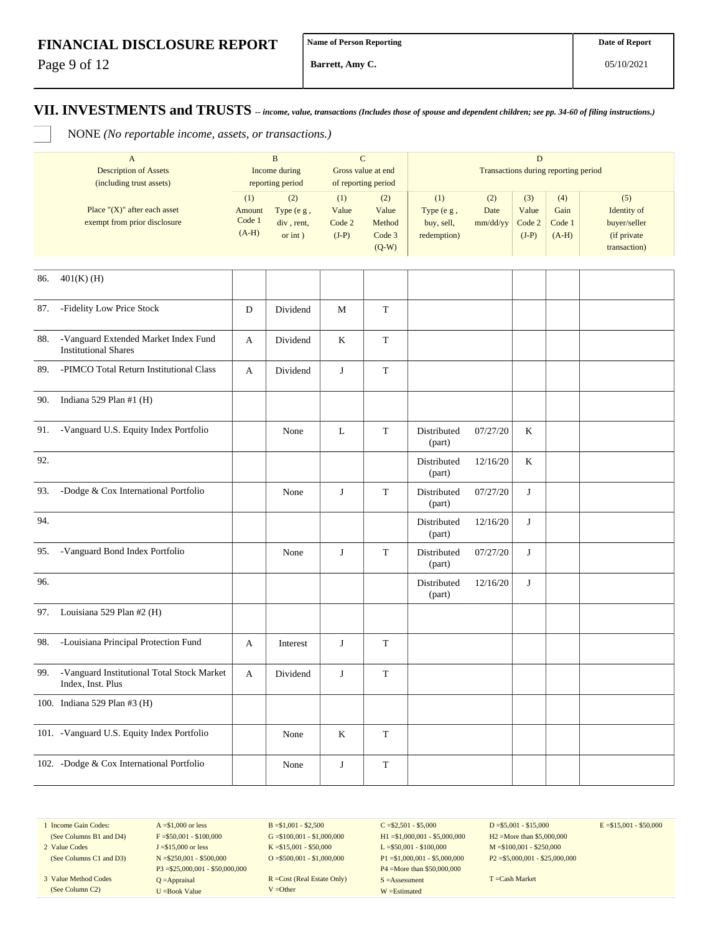Page 9 of 12

**Barrett, Amy C.**

**VII. INVESTMENTS and TRUSTS** *-- income, value, transactions (Includes those of spouse and dependent children; see pp. 34-60 of filing instructions.)*

NONE *(No reportable income, assets, or transactions.)*

|     | $\, {\bf B}$<br>$\mathbf{A}$<br><b>Description of Assets</b><br>Income during<br>(including trust assets)<br>reporting period |                                    |                                                 | $\mathbf C$<br>Gross value at end<br>of reporting period |                                             | D<br>Transactions during reporting period      |                         |                                   |                                  |                                                                   |  |
|-----|-------------------------------------------------------------------------------------------------------------------------------|------------------------------------|-------------------------------------------------|----------------------------------------------------------|---------------------------------------------|------------------------------------------------|-------------------------|-----------------------------------|----------------------------------|-------------------------------------------------------------------|--|
|     | Place " $(X)$ " after each asset<br>exempt from prior disclosure                                                              | (1)<br>Amount<br>Code 1<br>$(A-H)$ | (2)<br>Type (e g,<br>div, rent,<br>$or$ int $)$ | (1)<br>Value<br>Code 2<br>$(J-P)$                        | (2)<br>Value<br>Method<br>Code 3<br>$(Q-W)$ | (1)<br>Type (e g,<br>buy, sell,<br>redemption) | (2)<br>Date<br>mm/dd/yy | (3)<br>Value<br>Code 2<br>$(J-P)$ | (4)<br>Gain<br>Code 1<br>$(A-H)$ | (5)<br>Identity of<br>buyer/seller<br>(if private<br>transaction) |  |
| 86. | $401(K)$ (H)                                                                                                                  |                                    |                                                 |                                                          |                                             |                                                |                         |                                   |                                  |                                                                   |  |
| 87. | -Fidelity Low Price Stock                                                                                                     | D                                  | Dividend                                        | M                                                        | $\mathbf T$                                 |                                                |                         |                                   |                                  |                                                                   |  |
| 88. | -Vanguard Extended Market Index Fund<br><b>Institutional Shares</b>                                                           | A                                  | Dividend                                        | $\bf K$                                                  | $\mathbf T$                                 |                                                |                         |                                   |                                  |                                                                   |  |
| 89. | -PIMCO Total Return Institutional Class                                                                                       | A                                  | Dividend                                        | J                                                        | $\mathbf T$                                 |                                                |                         |                                   |                                  |                                                                   |  |
| 90. | Indiana 529 Plan #1 (H)                                                                                                       |                                    |                                                 |                                                          |                                             |                                                |                         |                                   |                                  |                                                                   |  |
| 91. | -Vanguard U.S. Equity Index Portfolio                                                                                         |                                    | None                                            | $\mathbf L$                                              | $\mathbf T$                                 | Distributed<br>(part)                          | 07/27/20                | K                                 |                                  |                                                                   |  |
| 92. |                                                                                                                               |                                    |                                                 |                                                          |                                             | Distributed<br>(part)                          | 12/16/20                | $\rm K$                           |                                  |                                                                   |  |
| 93. | -Dodge & Cox International Portfolio                                                                                          |                                    | None                                            | J                                                        | $\mathbf T$                                 | Distributed<br>(part)                          | 07/27/20                | J                                 |                                  |                                                                   |  |
| 94. |                                                                                                                               |                                    |                                                 |                                                          |                                             | Distributed<br>(part)                          | 12/16/20                | J                                 |                                  |                                                                   |  |
| 95. | -Vanguard Bond Index Portfolio                                                                                                |                                    | None                                            | $\bf J$                                                  | $\mathbf T$                                 | Distributed<br>(part)                          | 07/27/20                | J                                 |                                  |                                                                   |  |
| 96. |                                                                                                                               |                                    |                                                 |                                                          |                                             | Distributed<br>(part)                          | 12/16/20                | J                                 |                                  |                                                                   |  |
| 97. | Louisiana 529 Plan #2 (H)                                                                                                     |                                    |                                                 |                                                          |                                             |                                                |                         |                                   |                                  |                                                                   |  |
| 98. | -Louisiana Principal Protection Fund                                                                                          | A                                  | Interest                                        | J                                                        | T                                           |                                                |                         |                                   |                                  |                                                                   |  |
| 99. | -Vanguard Institutional Total Stock Market<br>Index, Inst. Plus                                                               | A                                  | Dividend                                        | J                                                        | $\mathbf T$                                 |                                                |                         |                                   |                                  |                                                                   |  |
|     | 100. Indiana 529 Plan #3 (H)                                                                                                  |                                    |                                                 |                                                          |                                             |                                                |                         |                                   |                                  |                                                                   |  |
|     | 101. - Vanguard U.S. Equity Index Portfolio                                                                                   |                                    | None                                            | $\rm K$                                                  | T                                           |                                                |                         |                                   |                                  |                                                                   |  |
|     | 102. -Dodge & Cox International Portfolio                                                                                     |                                    | None                                            | $\bf J$                                                  | $\mathbf T$                                 |                                                |                         |                                   |                                  |                                                                   |  |

1 Income Gain Codes: (See Columns B1 and D4)

2 Value Codes

(See Column C2)

(See Columns C1 and D3) 3 Value Method Codes J =\$15,000 or less N =\$250,001 - \$500,000 P3 =\$25,000,001 - \$50,000,000 Q =Appraisal U =Book Value

 $A = $1,000$  or less  $F = $50,001 - $100,000$   $B = $1,001 - $2,500$  $G = $100,001 - $1,000,000$ K =\$15,001 - \$50,000 O =  $$500,001 - $1,000,000$ 

R =Cost (Real Estate Only) V =Other

 $C = $2,501 - $5,000$ H1 =\$1,000,001 - \$5,000,000 L =\$50,001 - \$100,000 P1 =\$1,000,001 - \$5,000,000 P4 =More than \$50,000,000 S =Assessment W =Estimated

 $D = $5,001 - $15,000$ H2 =More than \$5,000,000 M =\$100,001 - \$250,000 P2 =\$5,000,001 - \$25,000,000  $E = $15,001 - $50,000$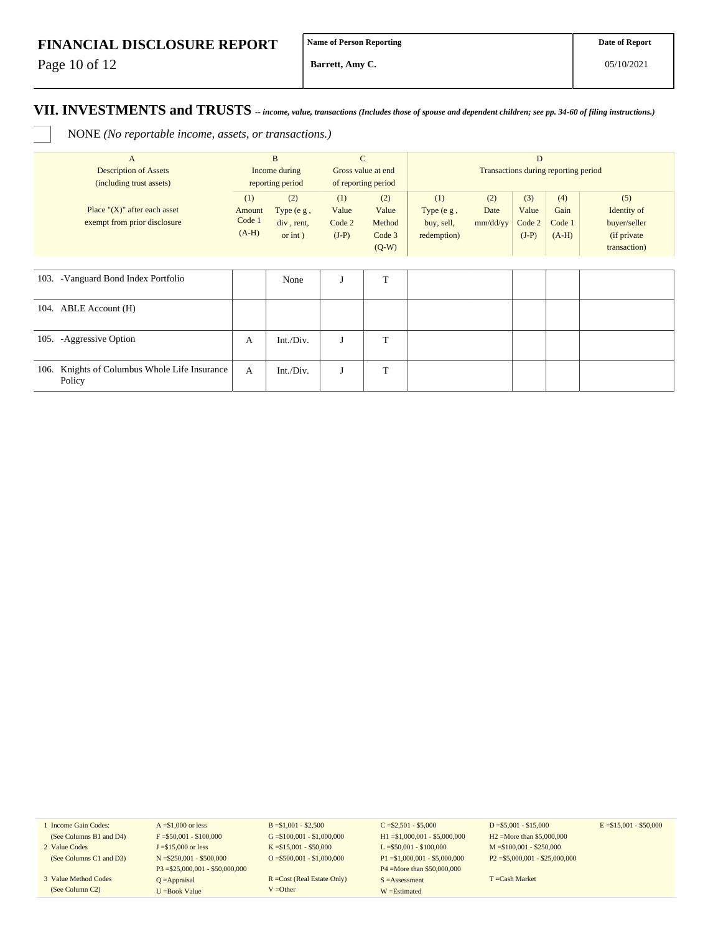Page 10 of 12

**Barrett, Amy C.**

### **VII. INVESTMENTS and TRUSTS** *-- income, value, transactions (Includes those of spouse and dependent children; see pp. 34-60 of filing instructions.)*

NONE *(No reportable income, assets, or transactions.)*

| $\mathbf{A}$<br><b>Description of Assets</b><br>(including trust assets) | $\mathbf{B}$<br>Income during<br>reporting period |                                                   | $\mathbf C$<br>Gross value at end<br>of reporting period |                                             | D<br>Transactions during reporting period        |                         |                                   |                                  |                                                                   |  |
|--------------------------------------------------------------------------|---------------------------------------------------|---------------------------------------------------|----------------------------------------------------------|---------------------------------------------|--------------------------------------------------|-------------------------|-----------------------------------|----------------------------------|-------------------------------------------------------------------|--|
| Place " $(X)$ " after each asset<br>exempt from prior disclosure         | (1)<br>Amount<br>Code 1<br>$(A-H)$                | (2)<br>Type $(e g,$<br>div, rent,<br>$or$ int $)$ | (1)<br>Value<br>Code 2<br>$(J-P)$                        | (2)<br>Value<br>Method<br>Code 3<br>$(Q-W)$ | (1)<br>Type $(e g,$<br>buy, sell,<br>redemption) | (2)<br>Date<br>mm/dd/yy | (3)<br>Value<br>Code 2<br>$(J-P)$ | (4)<br>Gain<br>Code 1<br>$(A-H)$ | (5)<br>Identity of<br>buyer/seller<br>(if private<br>transaction) |  |
|                                                                          |                                                   |                                                   |                                                          |                                             |                                                  |                         |                                   |                                  |                                                                   |  |
| 103. - Vanguard Bond Index Portfolio                                     |                                                   | None                                              |                                                          | T                                           |                                                  |                         |                                   |                                  |                                                                   |  |
| 104. ABLE Account (H)                                                    |                                                   |                                                   |                                                          |                                             |                                                  |                         |                                   |                                  |                                                                   |  |
| 105. - Aggressive Option                                                 | А                                                 | Int./Div.                                         | J                                                        | T                                           |                                                  |                         |                                   |                                  |                                                                   |  |
| Knights of Columbus Whole Life Insurance<br>106.<br>Policy               | A                                                 | Int./Div.                                         | $\mathbf{J}$                                             | T                                           |                                                  |                         |                                   |                                  |                                                                   |  |

1 Income Gain Codes: (See Columns B1 and D4)

2 Value Codes (See Columns C1 and D3)

3 Value Method Codes (See Column C2)

 $A = $1,000$  or less  $F = $50,001 - $100,000$ J =\$15,000 or less N =\$250,001 - \$500,000 P3 =\$25,000,001 - \$50,000,000 Q =Appraisal U =Book Value

 $B = $1,001 - $2,500$  $G = $100,001 - $1,000,000$ K =\$15,001 - \$50,000 O =  $$500,001 - $1,000,000$ 

R =Cost (Real Estate Only) V =Other

 $C = $2,501 - $5,000$ H1 =\$1,000,001 - \$5,000,000 L =\$50,001 - \$100,000 P1 =\$1,000,001 - \$5,000,000 P4 =More than \$50,000,000 S =Assessment W =Estimated

 $D = $5,001 - $15,000$ H2 =More than \$5,000,000 M =\$100,001 - \$250,000 P2 =\$5,000,001 - \$25,000,000  $E = $15,001 - $50,000$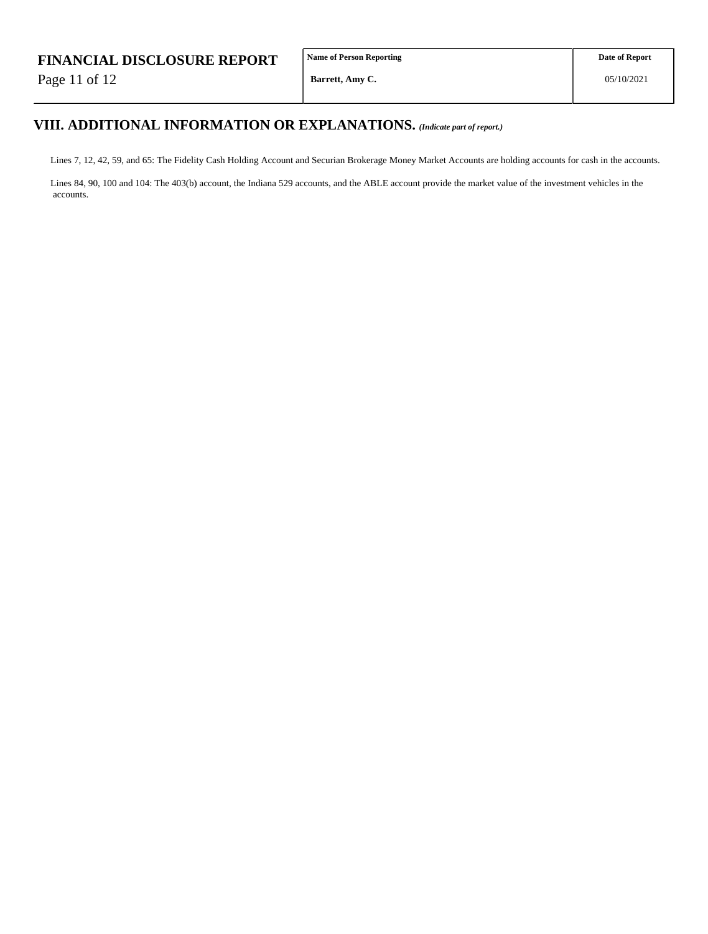Page 11 of 12

**Name of Person Reporting**

**Barrett, Amy C.**

# **VIII. ADDITIONAL INFORMATION OR EXPLANATIONS.** *(Indicate part of report.)*

Lines 7, 12, 42, 59, and 65: The Fidelity Cash Holding Account and Securian Brokerage Money Market Accounts are holding accounts for cash in the accounts.

Lines 84, 90, 100 and 104: The 403(b) account, the Indiana 529 accounts, and the ABLE account provide the market value of the investment vehicles in the accounts.